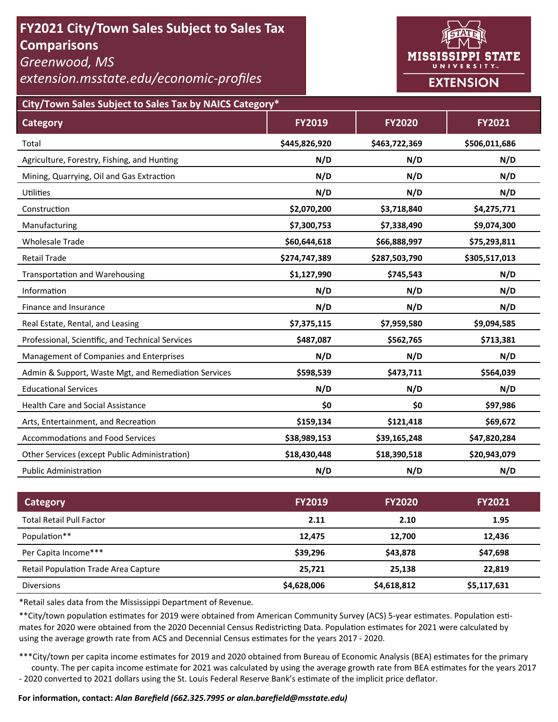# **FY2021 City/Town Sales Subject to Sales Tax Comparisons**

*Greenwood, MS* 

*extension.msstate.edu/economic‐profiles* 



**City/Town Sales Subject to Sales Tax by NAICS Category\***

| <b>Category</b>                                      | <b>FY2019</b> | <b>FY2020</b> | <b>FY2021</b> |
|------------------------------------------------------|---------------|---------------|---------------|
| Total                                                | \$445,826,920 | \$463,722,369 | \$506,011,686 |
| Agriculture, Forestry, Fishing, and Hunting          | N/D           | N/D           | N/D           |
| Mining, Quarrying, Oil and Gas Extraction            | N/D           | N/D           | N/D           |
| <b>Utilities</b>                                     | N/D           | N/D           | N/D           |
| Construction                                         | \$2,070,200   | \$3,718,840   | \$4,275,771   |
| Manufacturing                                        | \$7,300,753   | \$7,338,490   | \$9,074,300   |
| <b>Wholesale Trade</b>                               | \$60,644,618  | \$66,888,997  | \$75,293,811  |
| <b>Retail Trade</b>                                  | \$274,747,389 | \$287,503,790 | \$305,517,013 |
| <b>Transportation and Warehousing</b>                | \$1,127,990   | \$745,543     | N/D           |
| Information                                          | N/D           | N/D           | N/D           |
| Finance and Insurance                                | N/D           | N/D           | N/D           |
| Real Estate, Rental, and Leasing                     | \$7,375,115   | \$7,959,580   | \$9,094,585   |
| Professional, Scientific, and Technical Services     | \$487,087     | \$562,765     | \$713,381     |
| Management of Companies and Enterprises              | N/D           | N/D           | N/D           |
| Admin & Support, Waste Mgt, and Remediation Services | \$598,539     | \$473,711     | \$564,039     |
| <b>Educational Services</b>                          | N/D           | N/D           | N/D           |
| <b>Health Care and Social Assistance</b>             | \$0           | \$0           | \$97,986      |
| Arts, Entertainment, and Recreation                  | \$159,134     | \$121,418     | \$69,672      |
| <b>Accommodations and Food Services</b>              | \$38,989,153  | \$39,165,248  | \$47,820,284  |
| Other Services (except Public Administration)        | \$18,430,448  | \$18,390,518  | \$20,943,079  |
| <b>Public Administration</b>                         | N/D           | N/D           | N/D           |

| Category                             | <b>FY2019</b> | <b>FY2020</b> | <b>FY2021</b> |
|--------------------------------------|---------------|---------------|---------------|
| <b>Total Retail Pull Factor</b>      | 2.11          | 2.10          | 1.95          |
| Population**                         | 12,475        | 12,700        | 12,436        |
| Per Capita Income***                 | \$39,296      | \$43,878      | \$47,698      |
| Retail Population Trade Area Capture | 25,721        | 25.138        | 22,819        |
| <b>Diversions</b>                    | \$4,628,006   | \$4,618,812   | \$5,117,631   |

\*Retail sales data from the Mississippi Department of Revenue*.* 

\*\*City/town population estimates for 2019 were obtained from American Community Survey (ACS) 5-year estimates. Population estimates for 2020 were obtained from the 2020 Decennial Census Redistricting Data. Population estimates for 2021 were calculated by using the average growth rate from ACS and Decennial Census estimates for the years 2017 - 2020.

\*\*\*City/town per capita income estimates for 2019 and 2020 obtained from Bureau of Economic Analysis (BEA) estimates for the primary county. The per capita income estimate for 2021 was calculated by using the average growth rate from BEA estimates for the years 2017 - 2020 converted to 2021 dollars using the St. Louis Federal Reserve Bank's estimate of the implicit price deflator.

### **For informaƟon, contact:** *Alan Barefield (662.325.7995 or alan.barefield@msstate.edu)*